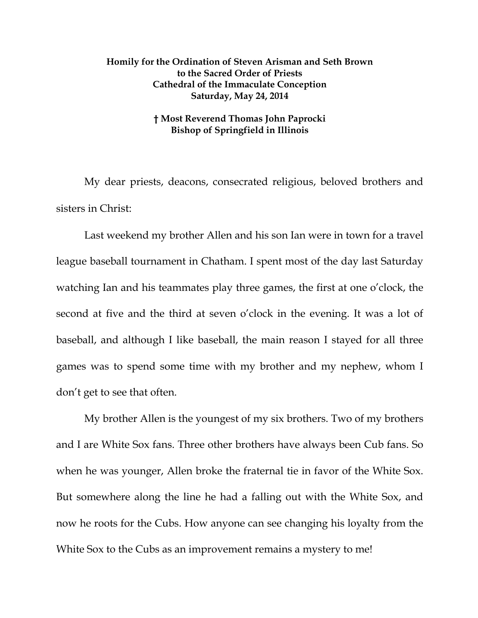## **Homily for the Ordination of Steven Arisman and Seth Brown to the Sacred Order of Priests Cathedral of the Immaculate Conception Saturday, May 24, 2014**

## **† Most Reverend Thomas John Paprocki Bishop of Springfield in Illinois**

My dear priests, deacons, consecrated religious, beloved brothers and sisters in Christ:

Last weekend my brother Allen and his son Ian were in town for a travel league baseball tournament in Chatham. I spent most of the day last Saturday watching Ian and his teammates play three games, the first at one o'clock, the second at five and the third at seven o'clock in the evening. It was a lot of baseball, and although I like baseball, the main reason I stayed for all three games was to spend some time with my brother and my nephew, whom I don't get to see that often.

My brother Allen is the youngest of my six brothers. Two of my brothers and I are White Sox fans. Three other brothers have always been Cub fans. So when he was younger, Allen broke the fraternal tie in favor of the White Sox. But somewhere along the line he had a falling out with the White Sox, and now he roots for the Cubs. How anyone can see changing his loyalty from the White Sox to the Cubs as an improvement remains a mystery to me!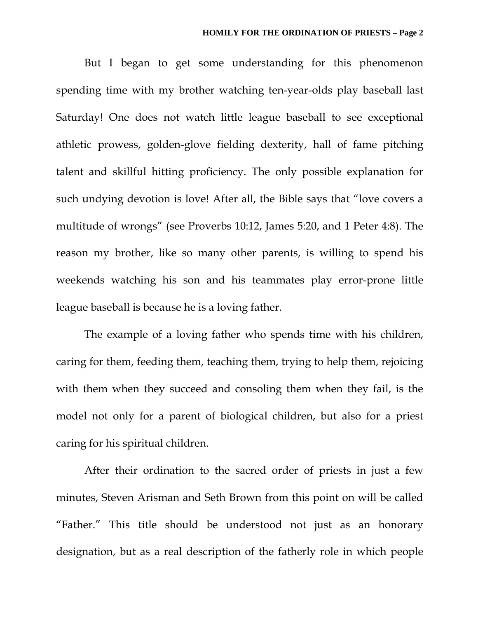But I began to get some understanding for this phenomenon spending time with my brother watching ten-year-olds play baseball last Saturday! One does not watch little league baseball to see exceptional athletic prowess, golden-glove fielding dexterity, hall of fame pitching talent and skillful hitting proficiency. The only possible explanation for such undying devotion is love! After all, the Bible says that "love covers a multitude of wrongs" (see Proverbs 10:12, James 5:20, and 1 Peter 4:8). The reason my brother, like so many other parents, is willing to spend his weekends watching his son and his teammates play error-prone little league baseball is because he is a loving father.

The example of a loving father who spends time with his children, caring for them, feeding them, teaching them, trying to help them, rejoicing with them when they succeed and consoling them when they fail, is the model not only for a parent of biological children, but also for a priest caring for his spiritual children.

After their ordination to the sacred order of priests in just a few minutes, Steven Arisman and Seth Brown from this point on will be called "Father." This title should be understood not just as an honorary designation, but as a real description of the fatherly role in which people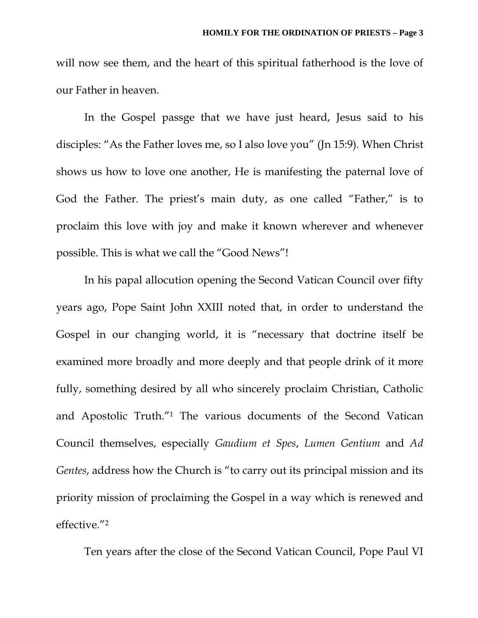will now see them, and the heart of this spiritual fatherhood is the love of our Father in heaven.

In the Gospel passge that we have just heard, Jesus said to his disciples: "As the Father loves me, so I also love you" (Jn 15:9). When Christ shows us how to love one another, He is manifesting the paternal love of God the Father. The priest's main duty, as one called "Father," is to proclaim this love with joy and make it known wherever and whenever possible. This is what we call the "Good News"!

In his papal allocution opening the Second Vatican Council over fifty years ago, Pope Saint John XXIII noted that, in order to understand the Gospel in our changing world, it is "necessary that doctrine itself be examined more broadly and more deeply and that people drink of it more fully, something desired by all who sincerely proclaim Christian, Catholic and Apostolic Truth."1 The various documents of the Second Vatican Council themselves, especially *Gaudium et Spes*, *Lumen Gentium* and *Ad Gentes*, address how the Church is "to carry out its principal mission and its priority mission of proclaiming the Gospel in a way which is renewed and effective."2

Ten years after the close of the Second Vatican Council, Pope Paul VI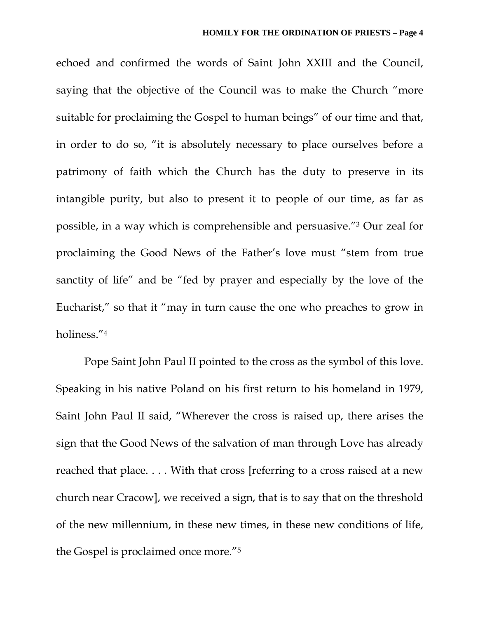echoed and confirmed the words of Saint John XXIII and the Council, saying that the objective of the Council was to make the Church "more suitable for proclaiming the Gospel to human beings" of our time and that, in order to do so, "it is absolutely necessary to place ourselves before a patrimony of faith which the Church has the duty to preserve in its intangible purity, but also to present it to people of our time, as far as possible, in a way which is comprehensible and persuasive."3 Our zeal for proclaiming the Good News of the Father's love must "stem from true sanctity of life" and be "fed by prayer and especially by the love of the Eucharist," so that it "may in turn cause the one who preaches to grow in holiness."4

Pope Saint John Paul II pointed to the cross as the symbol of this love. Speaking in his native Poland on his first return to his homeland in 1979, Saint John Paul II said, "Wherever the cross is raised up, there arises the sign that the Good News of the salvation of man through Love has already reached that place. . . . With that cross [referring to a cross raised at a new church near Cracow], we received a sign, that is to say that on the threshold of the new millennium, in these new times, in these new conditions of life, the Gospel is proclaimed once more."5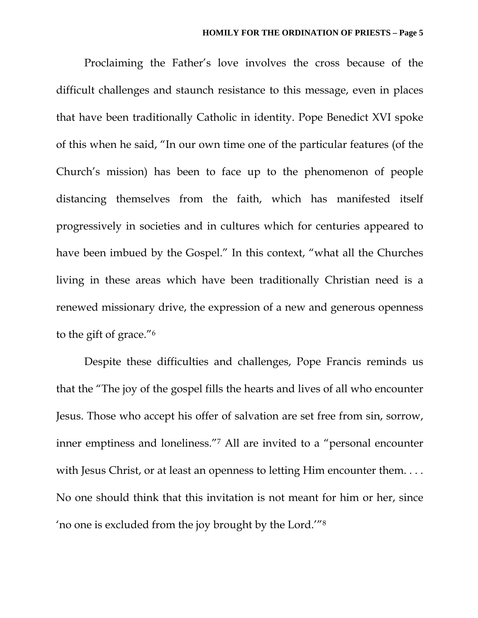Proclaiming the Father's love involves the cross because of the difficult challenges and staunch resistance to this message, even in places that have been traditionally Catholic in identity. Pope Benedict XVI spoke of this when he said, "In our own time one of the particular features (of the Church's mission) has been to face up to the phenomenon of people distancing themselves from the faith, which has manifested itself progressively in societies and in cultures which for centuries appeared to have been imbued by the Gospel." In this context, "what all the Churches living in these areas which have been traditionally Christian need is a renewed missionary drive, the expression of a new and generous openness to the gift of grace."6

Despite these difficulties and challenges, Pope Francis reminds us that the "The joy of the gospel fills the hearts and lives of all who encounter Jesus. Those who accept his offer of salvation are set free from sin, sorrow, inner emptiness and loneliness."7 All are invited to a "personal encounter with Jesus Christ, or at least an openness to letting Him encounter them.... No one should think that this invitation is not meant for him or her, since 'no one is excluded from the joy brought by the Lord.'"8